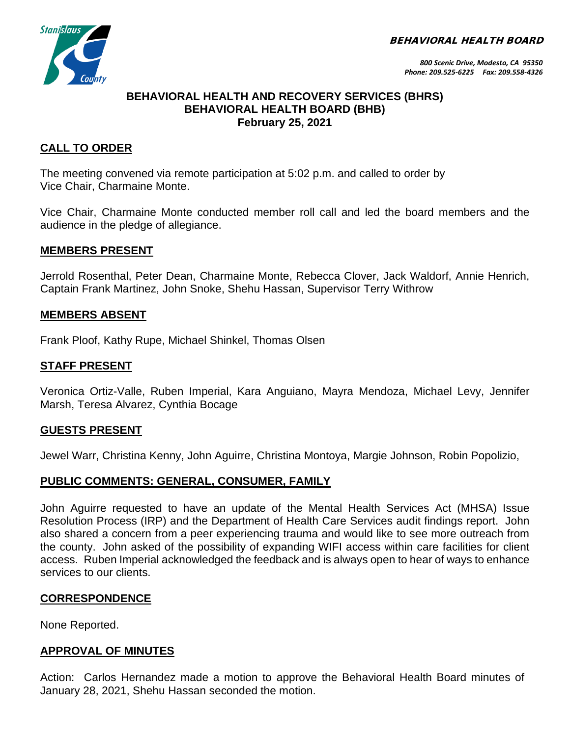BEHAVIORAL HEALTH BOARD



### **BEHAVIORAL HEALTH AND RECOVERY SERVICES (BHRS) BEHAVIORAL HEALTH BOARD (BHB) February 25, 2021**

### **CALL TO ORDER**

The meeting convened via remote participation at 5:02 p.m. and called to order by Vice Chair, Charmaine Monte.

Vice Chair, Charmaine Monte conducted member roll call and led the board members and the audience in the pledge of allegiance.

#### **MEMBERS PRESENT**

Jerrold Rosenthal, Peter Dean, Charmaine Monte, Rebecca Clover, Jack Waldorf, Annie Henrich, Captain Frank Martinez, John Snoke, Shehu Hassan, Supervisor Terry Withrow

#### **MEMBERS ABSENT**

Frank Ploof, Kathy Rupe, Michael Shinkel, Thomas Olsen

#### **STAFF PRESENT**

Veronica Ortiz-Valle, Ruben Imperial, Kara Anguiano, Mayra Mendoza, Michael Levy, Jennifer Marsh, Teresa Alvarez, Cynthia Bocage

#### **GUESTS PRESENT**

Jewel Warr, Christina Kenny, John Aguirre, Christina Montoya, Margie Johnson, Robin Popolizio,

### **PUBLIC COMMENTS: GENERAL, CONSUMER, FAMILY**

John Aguirre requested to have an update of the Mental Health Services Act (MHSA) Issue Resolution Process (IRP) and the Department of Health Care Services audit findings report. John also shared a concern from a peer experiencing trauma and would like to see more outreach from the county. John asked of the possibility of expanding WIFI access within care facilities for client access. Ruben Imperial acknowledged the feedback and is always open to hear of ways to enhance services to our clients.

### **CORRESPONDENCE**

None Reported.

### **APPROVAL OF MINUTES**

Action: Carlos Hernandez made a motion to approve the Behavioral Health Board minutes of January 28, 2021, Shehu Hassan seconded the motion.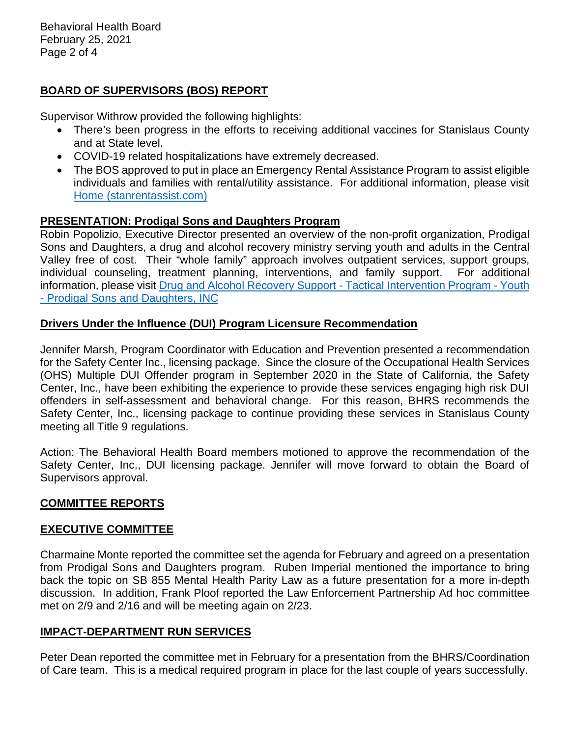Behavioral Health Board February 25, 2021 Page 2 of 4

# **BOARD OF SUPERVISORS (BOS) REPORT**

Supervisor Withrow provided the following highlights:

- There's been progress in the efforts to receiving additional vaccines for Stanislaus County and at State level.
- COVID-19 related hospitalizations have extremely decreased.
- The BOS approved to put in place an Emergency Rental Assistance Program to assist eligible individuals and families with rental/utility assistance. For additional information, please visit [Home \(stanrentassist.com\)](https://www.stanrentassist.com/)

### **PRESENTATION: Prodigal Sons and Daughters Program**

Robin Popolizio, Executive Director presented an overview of the non-profit organization, Prodigal Sons and Daughters, a drug and alcohol recovery ministry serving youth and adults in the Central Valley free of cost. Their "whole family" approach involves outpatient services, support groups, individual counseling, treatment planning, interventions, and family support. For additional information, please visit [Drug and Alcohol Recovery Support -](https://prodigalsonsanddaughters.org/) Tactical Intervention Program - Youth - [Prodigal Sons and Daughters, INC](https://prodigalsonsanddaughters.org/)

### **Drivers Under the Influence (DUI) Program Licensure Recommendation**

Jennifer Marsh, Program Coordinator with Education and Prevention presented a recommendation for the Safety Center Inc., licensing package. Since the closure of the Occupational Health Services (OHS) Multiple DUI Offender program in September 2020 in the State of California, the Safety Center, Inc., have been exhibiting the experience to provide these services engaging high risk DUI offenders in self-assessment and behavioral change. For this reason, BHRS recommends the Safety Center, Inc., licensing package to continue providing these services in Stanislaus County meeting all Title 9 regulations.

Action: The Behavioral Health Board members motioned to approve the recommendation of the Safety Center, Inc., DUI licensing package. Jennifer will move forward to obtain the Board of Supervisors approval.

# **COMMITTEE REPORTS**

### **EXECUTIVE COMMITTEE**

Charmaine Monte reported the committee set the agenda for February and agreed on a presentation from Prodigal Sons and Daughters program. Ruben Imperial mentioned the importance to bring back the topic on SB 855 Mental Health Parity Law as a future presentation for a more in-depth discussion. In addition, Frank Ploof reported the Law Enforcement Partnership Ad hoc committee met on 2/9 and 2/16 and will be meeting again on 2/23.

### **IMPACT-DEPARTMENT RUN SERVICES**

Peter Dean reported the committee met in February for a presentation from the BHRS/Coordination of Care team. This is a medical required program in place for the last couple of years successfully.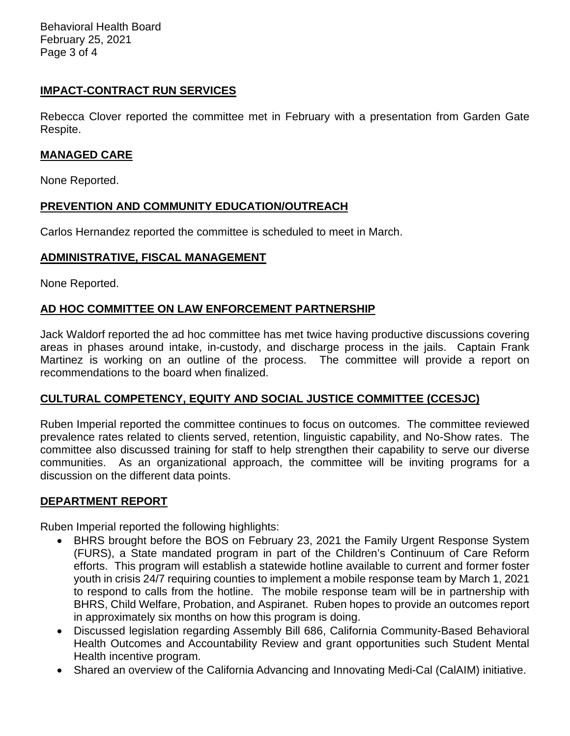Behavioral Health Board February 25, 2021 Page 3 of 4

# **IMPACT-CONTRACT RUN SERVICES**

Rebecca Clover reported the committee met in February with a presentation from Garden Gate Respite.

### **MANAGED CARE**

None Reported.

# **PREVENTION AND COMMUNITY EDUCATION/OUTREACH**

Carlos Hernandez reported the committee is scheduled to meet in March.

# **ADMINISTRATIVE, FISCAL MANAGEMENT**

None Reported.

# **AD HOC COMMITTEE ON LAW ENFORCEMENT PARTNERSHIP**

Jack Waldorf reported the ad hoc committee has met twice having productive discussions covering areas in phases around intake, in-custody, and discharge process in the jails. Captain Frank Martinez is working on an outline of the process. The committee will provide a report on recommendations to the board when finalized.

# **CULTURAL COMPETENCY, EQUITY AND SOCIAL JUSTICE COMMITTEE (CCESJC)**

Ruben Imperial reported the committee continues to focus on outcomes. The committee reviewed prevalence rates related to clients served, retention, linguistic capability, and No-Show rates. The committee also discussed training for staff to help strengthen their capability to serve our diverse communities. As an organizational approach, the committee will be inviting programs for a discussion on the different data points.

### **DEPARTMENT REPORT**

Ruben Imperial reported the following highlights:

- BHRS brought before the BOS on February 23, 2021 the Family Urgent Response System (FURS), a State mandated program in part of the Children's Continuum of Care Reform efforts. This program will establish a statewide hotline available to current and former foster youth in crisis 24/7 requiring counties to implement a mobile response team by March 1, 2021 to respond to calls from the hotline. The mobile response team will be in partnership with BHRS, Child Welfare, Probation, and Aspiranet. Ruben hopes to provide an outcomes report in approximately six months on how this program is doing.
- Discussed legislation regarding Assembly Bill 686, California Community-Based Behavioral Health Outcomes and Accountability Review and grant opportunities such Student Mental Health incentive program.
- Shared an overview of the California Advancing and Innovating Medi-Cal (CalAIM) initiative.